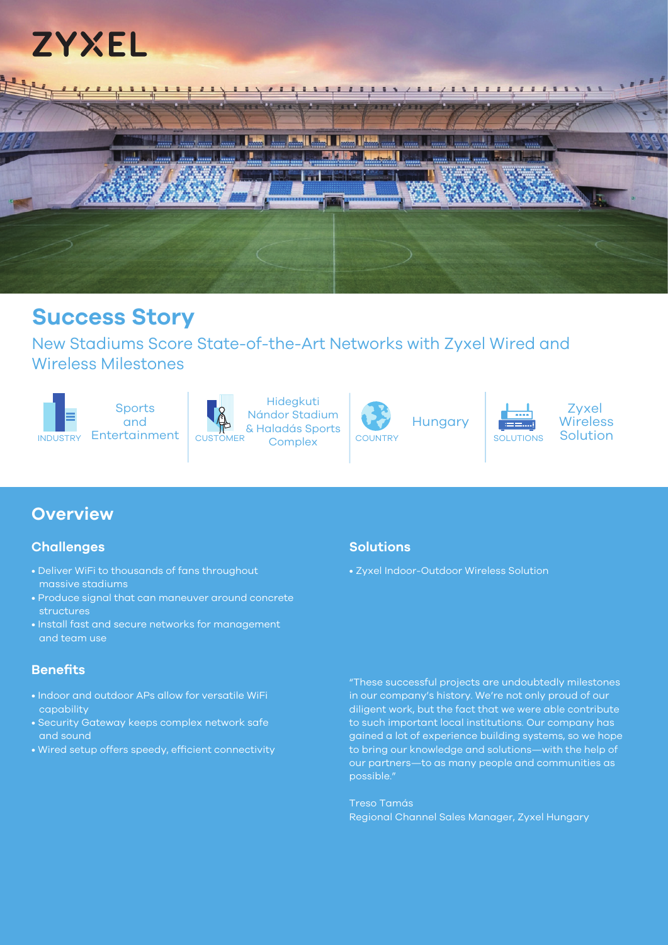



## **Success Story**

New Stadiums Score State-of-the-Art Networks with Zyxel Wired and Wireless Milestones





## **Challenges**

- Deliver WiFi to thousands of fans throughout massive stadiums
- Produce signal that can maneuver around concrete structures
- Install fast and secure networks for management and team use

## **Benefits**

- Indoor and outdoor APs allow for versatile WiFi capability
- Security Gateway keeps complex network safe and sound
- Wired setup offers speedy, efficient connectivity

#### **Solutions**

• Zyxel Indoor-Outdoor Wireless Solution

"These successful projects are undoubtedly milestones in our company's history. We're not only proud of our diligent work, but the fact that we were able contribute to such important local institutions. Our company has gained a lot of experience building systems, so we hope to bring our knowledge and solutions—with the help of our partners—to as many people and communities as possible."

Zyxel Wireless

Treso Tamás Regional Channel Sales Manager, Zyxel Hungary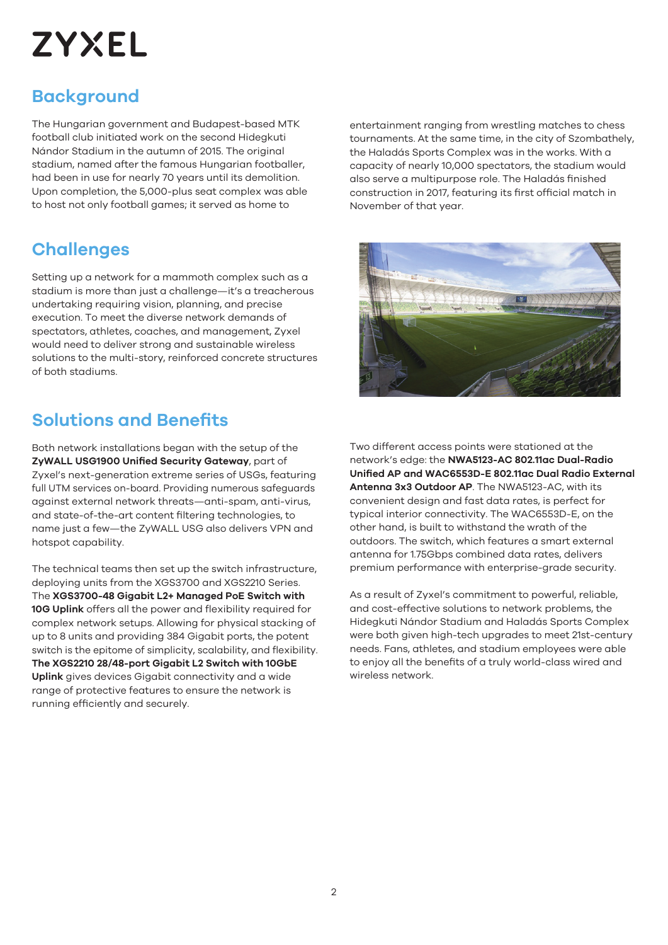# **ZYXEL**

## **Background**

The Hungarian government and Budapest-based MTK football club initiated work on the second Hidegkuti Nándor Stadium in the autumn of 2015. The original stadium, named after the famous Hungarian footballer, had been in use for nearly 70 years until its demolition. Upon completion, the 5,000-plus seat complex was able to host not only football games; it served as home to

## **Challenges**

Setting up a network for a mammoth complex such as a stadium is more than just a challenge—it's a treacherous undertaking requiring vision, planning, and precise execution. To meet the diverse network demands of spectators, athletes, coaches, and management, Zyxel would need to deliver strong and sustainable wireless solutions to the multi-story, reinforced concrete structures of both stadiums.

## **Solutions and Benefits**

Both network installations began with the setup of the **ZyWALL USG1900 Unified Security Gateway**, part of Zyxel's next-generation extreme series of USGs, featuring full UTM services on-board. Providing numerous safeguards against external network threats—anti-spam, anti-virus, and state-of-the-art content filtering technologies, to name just a few—the ZyWALL USG also delivers VPN and hotspot capability.

The technical teams then set up the switch infrastructure, deploying units from the XGS3700 and XGS2210 Series. The **XGS3700-48 Gigabit L2+ Managed PoE Switch with 10G Uplink** offers all the power and flexibility required for complex network setups. Allowing for physical stacking of up to 8 units and providing 384 Gigabit ports, the potent switch is the epitome of simplicity, scalability, and flexibility. **The XGS2210 28/48-port Gigabit L2 Switch with 10GbE Uplink** gives devices Gigabit connectivity and a wide range of protective features to ensure the network is running efficiently and securely.

entertainment ranging from wrestling matches to chess tournaments. At the same time, in the city of Szombathely, the Haladás Sports Complex was in the works. With a capacity of nearly 10,000 spectators, the stadium would also serve a multipurpose role. The Haladás finished construction in 2017, featuring its first official match in November of that year.



Two different access points were stationed at the network's edge: the **NWA5123-AC 802.11ac Dual-Radio Unified AP and WAC6553D-E 802.11ac Dual Radio External Antenna 3x3 Outdoor AP**. The NWA5123-AC, with its convenient design and fast data rates, is perfect for typical interior connectivity. The WAC6553D-E, on the other hand, is built to withstand the wrath of the outdoors. The switch, which features a smart external antenna for 1.75Gbps combined data rates, delivers premium performance with enterprise-grade security.

As a result of Zyxel's commitment to powerful, reliable, and cost-effective solutions to network problems, the Hidegkuti Nándor Stadium and Haladás Sports Complex were both given high-tech upgrades to meet 21st-century needs. Fans, athletes, and stadium employees were able to enjoy all the benefits of a truly world-class wired and wireless network.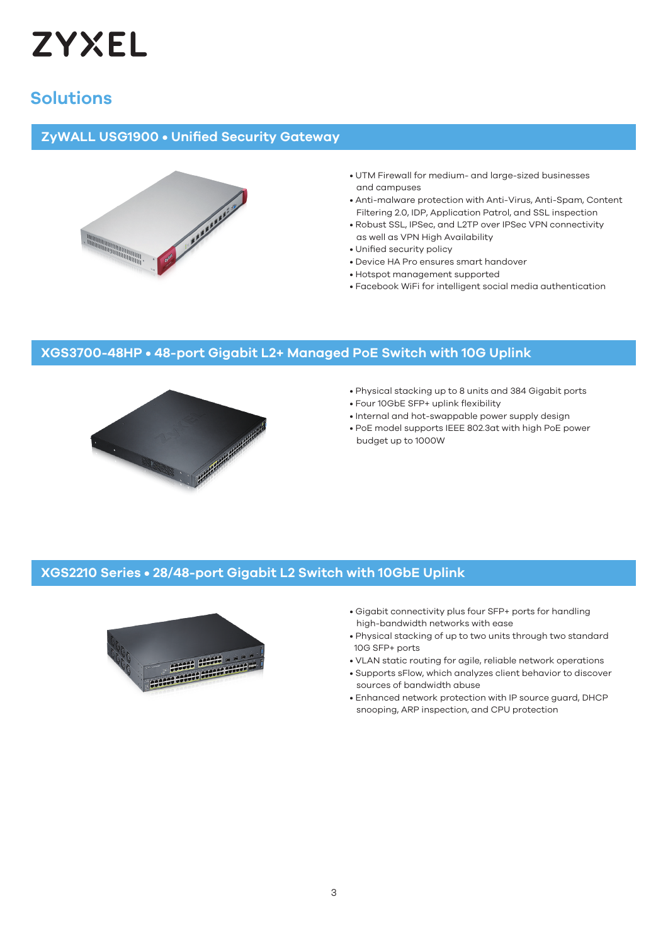

## **Solutions**

### **ZyWALL USG1900 • Unified Security Gateway**



- UTM Firewall for medium- and large-sized businesses and campuses
- Anti-malware protection with Anti-Virus, Anti-Spam, Content Filtering 2.0, IDP, Application Patrol, and SSL inspection
- Robust SSL, IPSec, and L2TP over IPSec VPN connectivity as well as VPN High Availability
- Unified security policy
- Device HA Pro ensures smart handover
- Hotspot management supported
- Facebook WiFi for intelligent social media authentication

## **XGS3700-48HP • 48-port Gigabit L2+ Managed PoE Switch with 10G Uplink**



- Physical stacking up to 8 units and 384 Gigabit ports
- Four 10GbE SFP+ uplink flexibility
- Internal and hot-swappable power supply design
- PoE model supports IEEE 802.3at with high PoE power budget up to 1000W

#### **XGS2210 Series • 28/48-port Gigabit L2 Switch with 10GbE Uplink**



- Gigabit connectivity plus four SFP+ ports for handling high-bandwidth networks with ease
- Physical stacking of up to two units through two standard 10G SFP+ ports
- VLAN static routing for agile, reliable network operations
- Supports sFlow, which analyzes client behavior to discover sources of bandwidth abuse
- Enhanced network protection with IP source guard, DHCP snooping, ARP inspection, and CPU protection